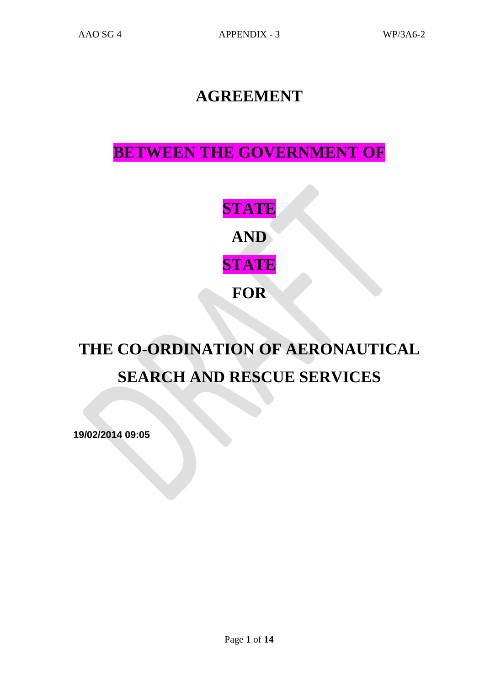## **AGREEMENT**

# **BETWEEN THE GOVERNMENT OF**

**STATE AND STATE FOR**

# **THE CO-ORDINATION OF AERONAUTICAL SEARCH AND RESCUE SERVICES**

**19/02/2014 09:05**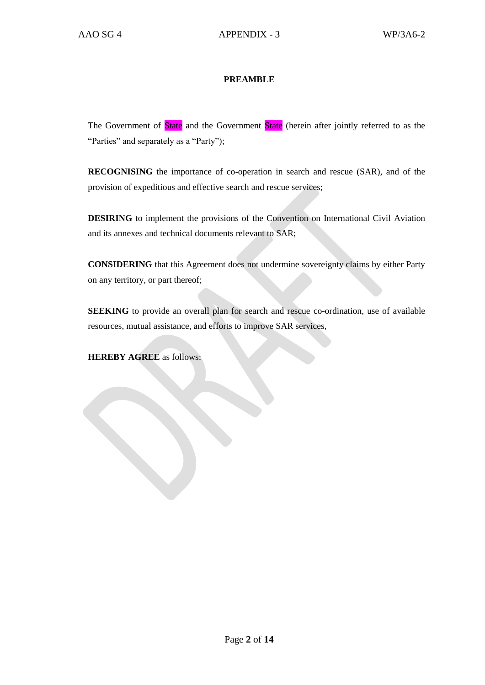#### **PREAMBLE**

The Government of State and the Government State (herein after jointly referred to as the "Parties" and separately as a "Party");

**RECOGNISING** the importance of co-operation in search and rescue (SAR), and of the provision of expeditious and effective search and rescue services;

**DESIRING** to implement the provisions of the Convention on International Civil Aviation and its annexes and technical documents relevant to SAR;

**CONSIDERING** that this Agreement does not undermine sovereignty claims by either Party on any territory, or part thereof;

**SEEKING** to provide an overall plan for search and rescue co-ordination, use of available resources, mutual assistance, and efforts to improve SAR services,

**HEREBY AGREE** as follows: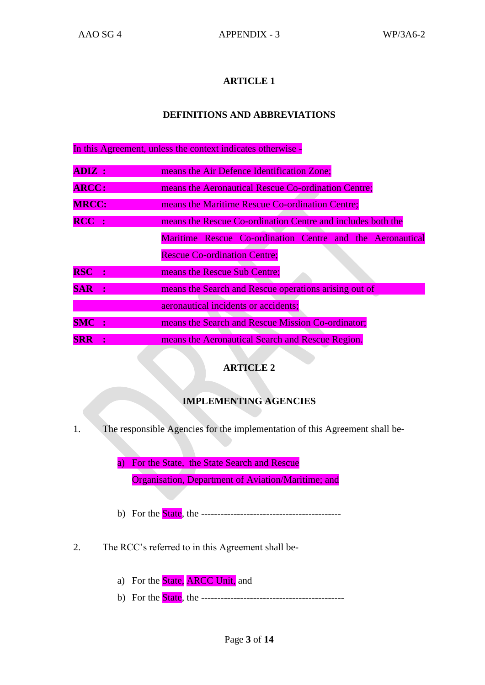#### **DEFINITIONS AND ABBREVIATIONS**

In this Agreement, unless the context indicates otherwise -

| ADIZ :       |                | means the Air Defence Identification Zone;                  |  |  |
|--------------|----------------|-------------------------------------------------------------|--|--|
| <b>ARCC:</b> |                | means the Aeronautical Rescue Co-ordination Centre;         |  |  |
| <b>MRCC:</b> |                | means the Maritime Rescue Co-ordination Centre;             |  |  |
| $RCC$ :      |                | means the Rescue Co-ordination Centre and includes both the |  |  |
|              |                | Maritime Rescue Co-ordination Centre and the Aeronautical   |  |  |
|              |                | <b>Rescue Co-ordination Centre;</b>                         |  |  |
| <b>RSC</b>   | $\mathbf{r}$   | means the Rescue Sub Centre;                                |  |  |
| <b>SAR</b>   |                | means the Search and Rescue operations arising out of       |  |  |
|              |                | aeronautical incidents or accidents;                        |  |  |
| <b>SMC</b>   | $\ddot{\cdot}$ | means the Search and Rescue Mission Co-ordinator;           |  |  |
| <b>SRR</b>   |                | means the Aeronautical Search and Rescue Region.            |  |  |

#### **ARTICLE 2**

#### **IMPLEMENTING AGENCIES**

1. The responsible Agencies for the implementation of this Agreement shall be-

a) For the State, the State Search and Rescue

Organisation, Department of Aviation/Maritime; and

- b) For the State, the -------------------------------------------
- 2. The RCC's referred to in this Agreement shall be
	- a) For the **State**, **ARCC Unit**, and
	- b) For the State, the --------------------------------------------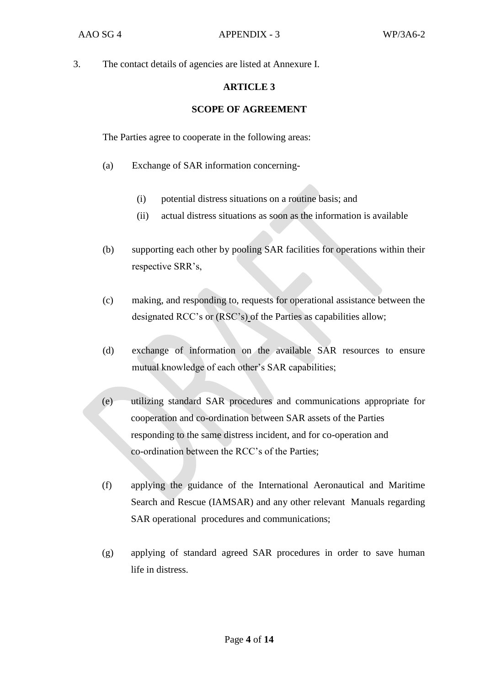3. The contact details of agencies are listed at Annexure I.

#### **ARTICLE 3**

#### **SCOPE OF AGREEMENT**

The Parties agree to cooperate in the following areas:

- (a) Exchange of SAR information concerning-
	- (i) potential distress situations on a routine basis; and
	- (ii) actual distress situations as soon as the information is available
- (b) supporting each other by pooling SAR facilities for operations within their respective SRR's,
- (c) making, and responding to, requests for operational assistance between the designated RCC's or (RSC's) of the Parties as capabilities allow;
- (d) exchange of information on the available SAR resources to ensure mutual knowledge of each other's SAR capabilities;
- (e) utilizing standard SAR procedures and communications appropriate for cooperation and co-ordination between SAR assets of the Parties responding to the same distress incident, and for co-operation and co-ordination between the RCC's of the Parties;
- (f) applying the guidance of the International Aeronautical and Maritime Search and Rescue (IAMSAR) and any other relevant Manuals regarding SAR operational procedures and communications;
- (g) applying of standard agreed SAR procedures in order to save human life in distress.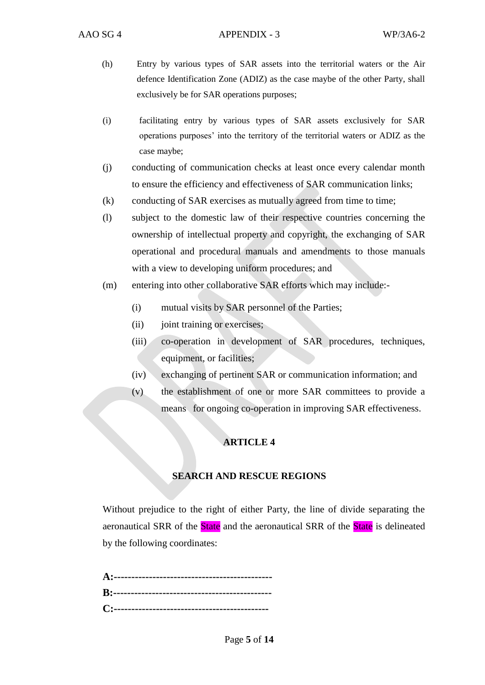- (h) Entry by various types of SAR assets into the territorial waters or the Air defence Identification Zone (ADIZ) as the case maybe of the other Party, shall exclusively be for SAR operations purposes;
- (i) facilitating entry by various types of SAR assets exclusively for SAR operations purposes' into the territory of the territorial waters or ADIZ as the case maybe;
- (j) conducting of communication checks at least once every calendar month to ensure the efficiency and effectiveness of SAR communication links;
- (k) conducting of SAR exercises as mutually agreed from time to time;
- (l) subject to the domestic law of their respective countries concerning the ownership of intellectual property and copyright, the exchanging of SAR operational and procedural manuals and amendments to those manuals with a view to developing uniform procedures; and
- (m) entering into other collaborative SAR efforts which may include:-
	- (i) mutual visits by SAR personnel of the Parties;
	- (ii) joint training or exercises;
	- (iii) co-operation in development of SAR procedures, techniques, equipment, or facilities;
	- (iv) exchanging of pertinent SAR or communication information; and
	- (v) the establishment of one or more SAR committees to provide a means for ongoing co-operation in improving SAR effectiveness.

#### **SEARCH AND RESCUE REGIONS**

Without prejudice to the right of either Party, the line of divide separating the aeronautical SRR of the State and the aeronautical SRR of the State is delineated by the following coordinates: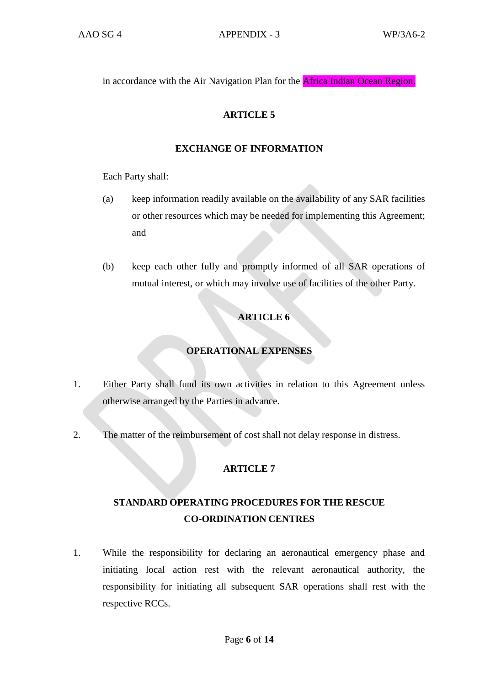in accordance with the Air Navigation Plan for the Africa Indian Ocean Region.

#### **ARTICLE 5**

#### **EXCHANGE OF INFORMATION**

Each Party shall:

- (a) keep information readily available on the availability of any SAR facilities or other resources which may be needed for implementing this Agreement; and
- (b) keep each other fully and promptly informed of all SAR operations of mutual interest, or which may involve use of facilities of the other Party.

#### **ARTICLE 6**

#### **OPERATIONAL EXPENSES**

- 1. Either Party shall fund its own activities in relation to this Agreement unless otherwise arranged by the Parties in advance.
- 2. The matter of the reimbursement of cost shall not delay response in distress.

#### **ARTICLE 7**

## **STANDARD OPERATING PROCEDURES FOR THE RESCUE CO-ORDINATION CENTRES**

1. While the responsibility for declaring an aeronautical emergency phase and initiating local action rest with the relevant aeronautical authority, the responsibility for initiating all subsequent SAR operations shall rest with the respective RCCs.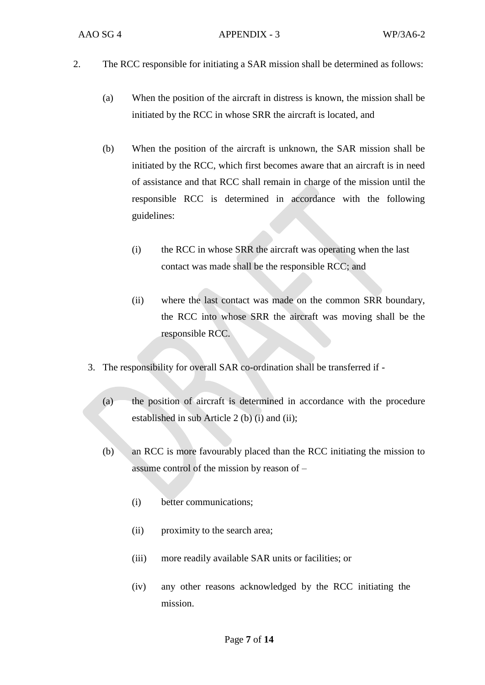- 2. The RCC responsible for initiating a SAR mission shall be determined as follows:
	- (a) When the position of the aircraft in distress is known, the mission shall be initiated by the RCC in whose SRR the aircraft is located, and
	- (b) When the position of the aircraft is unknown, the SAR mission shall be initiated by the RCC, which first becomes aware that an aircraft is in need of assistance and that RCC shall remain in charge of the mission until the responsible RCC is determined in accordance with the following guidelines:
		- (i) the RCC in whose SRR the aircraft was operating when the last contact was made shall be the responsible RCC; and
		- (ii) where the last contact was made on the common SRR boundary, the RCC into whose SRR the aircraft was moving shall be the responsible RCC.
	- 3. The responsibility for overall SAR co-ordination shall be transferred if
		- (a) the position of aircraft is determined in accordance with the procedure established in sub Article 2 (b) (i) and (ii);
		- (b) an RCC is more favourably placed than the RCC initiating the mission to assume control of the mission by reason of –
			- (i) better communications;
			- (ii) proximity to the search area;
			- (iii) more readily available SAR units or facilities; or
			- (iv) any other reasons acknowledged by the RCC initiating the mission.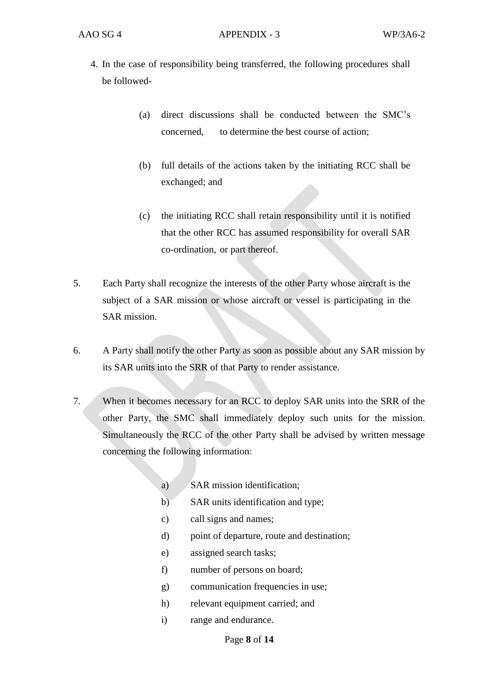- 4. In the case of responsibility being transferred, the following procedures shall be followed-
	- (a) direct discussions shall be conducted between the SMC's concerned, to determine the best course of action;
	- (b) full details of the actions taken by the initiating RCC shall be exchanged; and
	- (c) the initiating RCC shall retain responsibility until it is notified that the other RCC has assumed responsibility for overall SAR co-ordination, or part thereof.
- 5. Each Party shall recognize the interests of the other Party whose aircraft is the subject of a SAR mission or whose aircraft or vessel is participating in the SAR mission.
- 6. A Party shall notify the other Party as soon as possible about any SAR mission by its SAR units into the SRR of that Party to render assistance.
- 7. When it becomes necessary for an RCC to deploy SAR units into the SRR of the other Party, the SMC shall immediately deploy such units for the mission. Simultaneously the RCC of the other Party shall be advised by written message concerning the following information:
	- a) SAR mission identification;
	- b) SAR units identification and type;
	- c) call signs and names;
	- d) point of departure, route and destination;
	- e) assigned search tasks;
	- f) number of persons on board;
	- g) communication frequencies in use;
	- h) relevant equipment carried; and
	- i) range and endurance.

Page **8** of **14**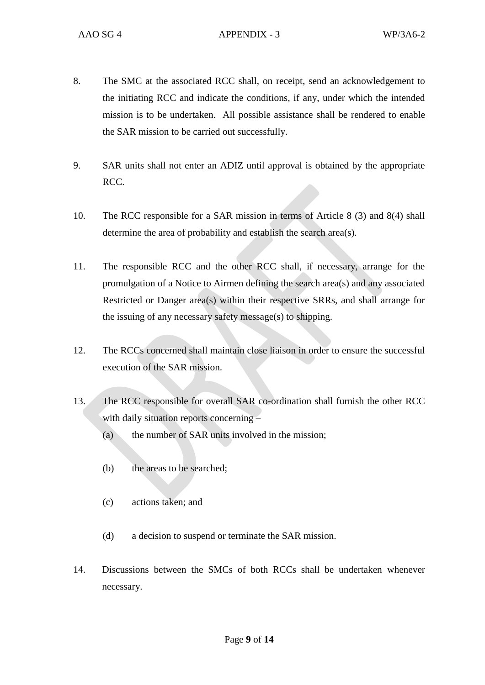- 8. The SMC at the associated RCC shall, on receipt, send an acknowledgement to the initiating RCC and indicate the conditions, if any, under which the intended mission is to be undertaken. All possible assistance shall be rendered to enable the SAR mission to be carried out successfully.
- 9. SAR units shall not enter an ADIZ until approval is obtained by the appropriate RCC.
- 10. The RCC responsible for a SAR mission in terms of Article 8 (3) and 8(4) shall determine the area of probability and establish the search area(s).
- 11. The responsible RCC and the other RCC shall, if necessary, arrange for the promulgation of a Notice to Airmen defining the search area(s) and any associated Restricted or Danger area(s) within their respective SRRs, and shall arrange for the issuing of any necessary safety message(s) to shipping.
- 12. The RCCs concerned shall maintain close liaison in order to ensure the successful execution of the SAR mission.
- 13. The RCC responsible for overall SAR co-ordination shall furnish the other RCC with daily situation reports concerning –
	- (a) the number of SAR units involved in the mission;
	- (b) the areas to be searched;
	- (c) actions taken; and
	- (d) a decision to suspend or terminate the SAR mission.
- 14. Discussions between the SMCs of both RCCs shall be undertaken whenever necessary.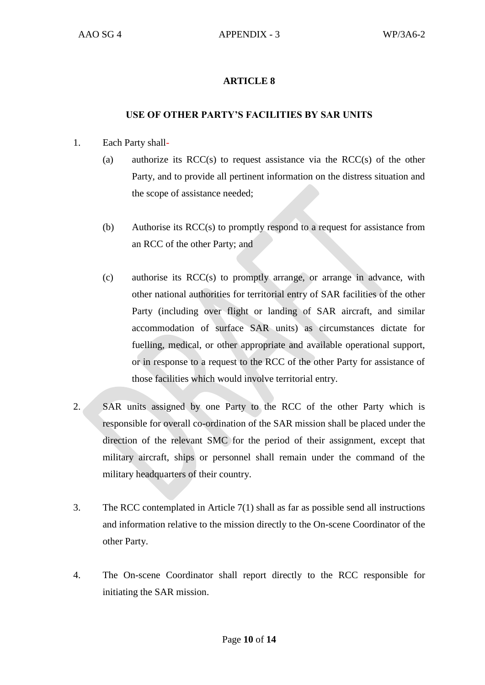#### **USE OF OTHER PARTY'S FACILITIES BY SAR UNITS**

- 1. Each Party shall-
	- (a) authorize its  $RCC(s)$  to request assistance via the  $RCC(s)$  of the other Party, and to provide all pertinent information on the distress situation and the scope of assistance needed;
	- (b) Authorise its RCC(s) to promptly respond to a request for assistance from an RCC of the other Party; and
	- (c) authorise its RCC(s) to promptly arrange, or arrange in advance, with other national authorities for territorial entry of SAR facilities of the other Party (including over flight or landing of SAR aircraft, and similar accommodation of surface SAR units) as circumstances dictate for fuelling, medical, or other appropriate and available operational support, or in response to a request to the RCC of the other Party for assistance of those facilities which would involve territorial entry.
- 2. SAR units assigned by one Party to the RCC of the other Party which is responsible for overall co-ordination of the SAR mission shall be placed under the direction of the relevant SMC for the period of their assignment, except that military aircraft, ships or personnel shall remain under the command of the military headquarters of their country.
- 3. The RCC contemplated in Article 7(1) shall as far as possible send all instructions and information relative to the mission directly to the On-scene Coordinator of the other Party.
- 4. The On-scene Coordinator shall report directly to the RCC responsible for initiating the SAR mission.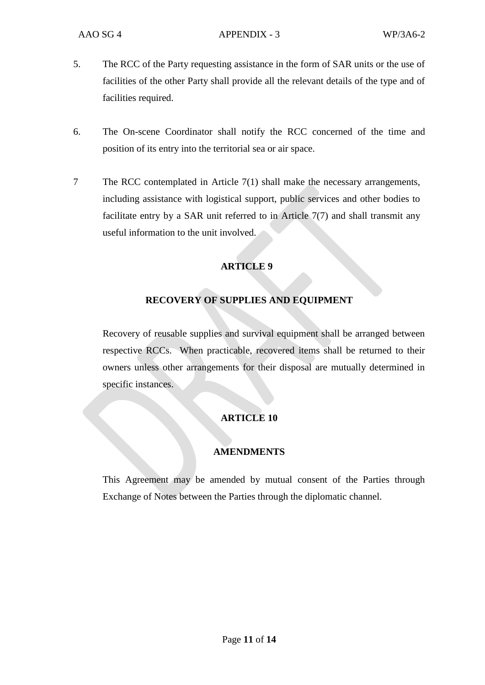- 5. The RCC of the Party requesting assistance in the form of SAR units or the use of facilities of the other Party shall provide all the relevant details of the type and of facilities required.
- 6. The On-scene Coordinator shall notify the RCC concerned of the time and position of its entry into the territorial sea or air space.
- 7 The RCC contemplated in Article 7(1) shall make the necessary arrangements, including assistance with logistical support, public services and other bodies to facilitate entry by a SAR unit referred to in Article 7(7) and shall transmit any useful information to the unit involved.

#### **RECOVERY OF SUPPLIES AND EQUIPMENT**

Recovery of reusable supplies and survival equipment shall be arranged between respective RCCs. When practicable, recovered items shall be returned to their owners unless other arrangements for their disposal are mutually determined in specific instances.

#### **ARTICLE 10**

#### **AMENDMENTS**

This Agreement may be amended by mutual consent of the Parties through Exchange of Notes between the Parties through the diplomatic channel.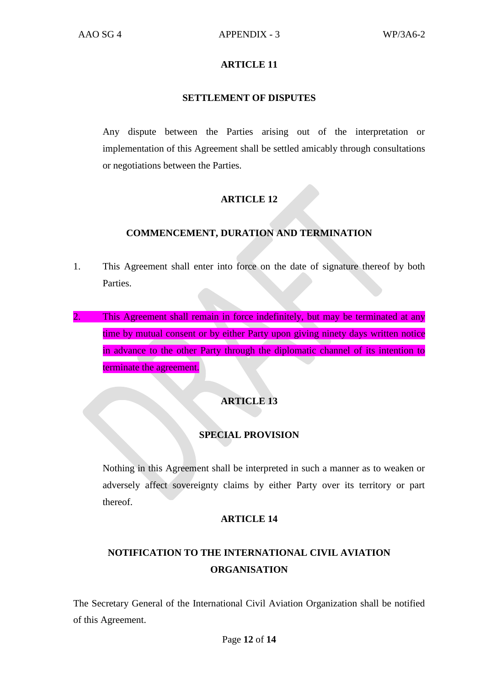#### **SETTLEMENT OF DISPUTES**

Any dispute between the Parties arising out of the interpretation or implementation of this Agreement shall be settled amicably through consultations or negotiations between the Parties.

#### **ARTICLE 12**

#### **COMMENCEMENT, DURATION AND TERMINATION**

- 1. This Agreement shall enter into force on the date of signature thereof by both Parties.
- 2. This Agreement shall remain in force indefinitely, but may be terminated at any time by mutual consent or by either Party upon giving ninety days written notice in advance to the other Party through the diplomatic channel of its intention to terminate the agreement.

#### **ARTICLE 13**

#### **SPECIAL PROVISION**

Nothing in this Agreement shall be interpreted in such a manner as to weaken or adversely affect sovereignty claims by either Party over its territory or part thereof.

#### **ARTICLE 14**

## **NOTIFICATION TO THE INTERNATIONAL CIVIL AVIATION ORGANISATION**

The Secretary General of the International Civil Aviation Organization shall be notified of this Agreement.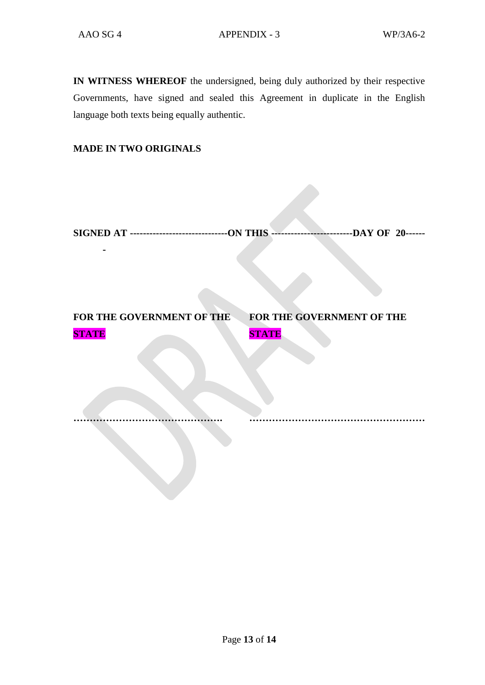**-**

**IN WITNESS WHEREOF** the undersigned, being duly authorized by their respective Governments, have signed and sealed this Agreement in duplicate in the English language both texts being equally authentic.

#### **MADE IN TWO ORIGINALS**

**FOR THE GOVERNMENT OF THE FOR THE GOVERNMENT OF THE STATE STATE**

**………………………………………. ………………………………………………**